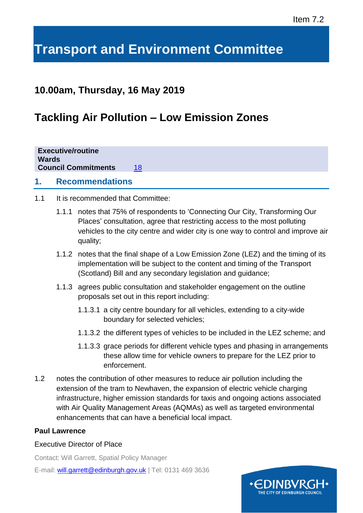## Item 7.2

# **Transport and Environment Committee**

## **10.00am, Thursday, 16 May 2019**

## **Tackling Air Pollution – Low Emission Zones**

| 18 |
|----|
|    |

## **1. Recommendations**

- 1.1 It is recommended that Committee:
	- 1.1.1 notes that 75% of respondents to 'Connecting Our City, Transforming Our Places' consultation, agree that restricting access to the most polluting vehicles to the city centre and wider city is one way to control and improve air quality;
	- 1.1.2 notes that the final shape of a Low Emission Zone (LEZ) and the timing of its implementation will be subject to the content and timing of the Transport (Scotland) Bill and any secondary legislation and guidance;
	- 1.1.3 agrees public consultation and stakeholder engagement on the outline proposals set out in this report including:
		- 1.1.3.1 a city centre boundary for all vehicles, extending to a city-wide boundary for selected vehicles;
		- 1.1.3.2 the different types of vehicles to be included in the LEZ scheme; and
		- 1.1.3.3 grace periods for different vehicle types and phasing in arrangements these allow time for vehicle owners to prepare for the LEZ prior to enforcement.
- 1.2 notes the contribution of other measures to reduce air pollution including the extension of the tram to Newhaven, the expansion of electric vehicle charging infrastructure, higher emission standards for taxis and ongoing actions associated with Air Quality Management Areas (AQMAs) as well as targeted environmental enhancements that can have a beneficial local impact.

## **Paul Lawrence**

#### Executive Director of Place

Contact: Will Garrett, Spatial Policy Manager E-mail: [will.garrett@edinburgh.gov.uk](mailto:will.garrett@edinburgh.gov.uk) | Tel: 0131 469 3636

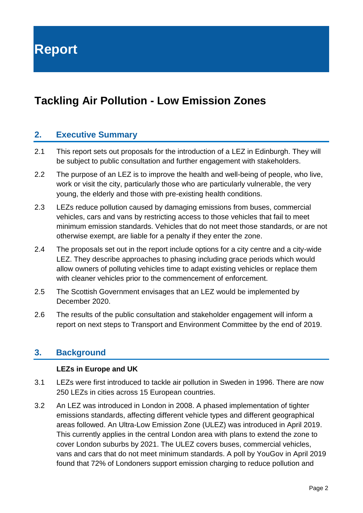## **Tackling Air Pollution - Low Emission Zones**

## **2. Executive Summary**

- 2.1 This report sets out proposals for the introduction of a LEZ in Edinburgh. They will be subject to public consultation and further engagement with stakeholders.
- 2.2 The purpose of an LEZ is to improve the health and well-being of people, who live, work or visit the city, particularly those who are particularly vulnerable, the very young, the elderly and those with pre-existing health conditions.
- 2.3 LEZs reduce pollution caused by damaging emissions from buses, commercial vehicles, cars and vans by restricting access to those vehicles that fail to meet minimum emission standards. Vehicles that do not meet those standards, or are not otherwise exempt, are liable for a penalty if they enter the zone.
- 2.4 The proposals set out in the report include options for a city centre and a city-wide LEZ. They describe approaches to phasing including grace periods which would allow owners of polluting vehicles time to adapt existing vehicles or replace them with cleaner vehicles prior to the commencement of enforcement.
- 2.5 The Scottish Government envisages that an LEZ would be implemented by December 2020.
- 2.6 The results of the public consultation and stakeholder engagement will inform a report on next steps to Transport and Environment Committee by the end of 2019.

## **3. Background**

## **LEZs in Europe and UK**

- 3.1 LEZs were first introduced to tackle air pollution in Sweden in 1996. There are now 250 LEZs in cities across 15 European countries.
- 3.2 An LEZ was introduced in London in 2008. A phased implementation of tighter emissions standards, affecting different vehicle types and different geographical areas followed. An Ultra-Low Emission Zone (ULEZ) was introduced in April 2019. This currently applies in the central London area with plans to extend the zone to cover London suburbs by 2021. The ULEZ covers buses, commercial vehicles, vans and cars that do not meet minimum standards. A poll by YouGov in April 2019 found that 72% of Londoners support emission charging to reduce pollution and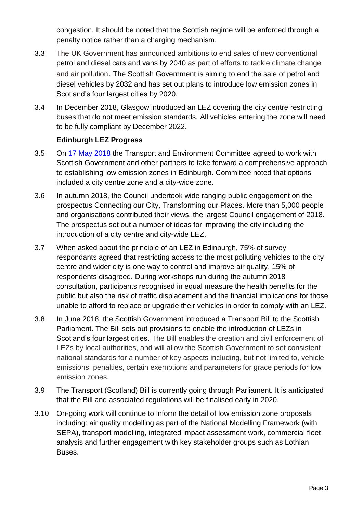congestion. It should be noted that the Scottish regime will be enforced through a penalty notice rather than a charging mechanism.

- 3.3 The UK Government has announced ambitions to end sales of new conventional petrol and [diesel](https://www.independent.co.uk/news/uk/home-news/uk-petrol-diesel-ban-cars-vehicles-britain-sales-fuels-fossil-government-a7860181.html) cars and vans by 2040 as part of efforts to tackle climate change and air pollution. The Scottish Government is aiming to end the sale of petrol and diesel vehicles by 2032 and has set out plans to introduce low emission zones in Scotland's four largest cities by 2020.
- 3.4 In December 2018, Glasgow introduced an LEZ covering the city centre restricting buses that do not meet emission standards. All vehicles entering the zone will need to be fully compliant by December 2022.

## **Edinburgh LEZ Progress**

- 3.5 On [17 May 2018](http://www.edinburgh.gov.uk/download/meetings/id/57061/item_710_-_developing_low_emission_zones_in_edinburgh) the Transport and Environment Committee agreed to work with Scottish Government and other partners to take forward a comprehensive approach to establishing low emission zones in Edinburgh. Committee noted that options included a city centre zone and a city-wide zone.
- 3.6 In autumn 2018, the Council undertook wide ranging public engagement on the prospectus Connecting our City, Transforming our Places. More than 5,000 people and organisations contributed their views, the largest Council engagement of 2018. The prospectus set out a number of ideas for improving the city including the introduction of a city centre and city-wide LEZ.
- 3.7 When asked about the principle of an LEZ in Edinburgh, 75% of survey respondants agreed that restricting access to the most polluting vehicles to the city centre and wider city is one way to control and improve air quality. 15% of respondents disagreed. During workshops run during the autumn 2018 consultation, participants recognised in equal measure the health benefits for the public but also the risk of traffic displacement and the financial implications for those unable to afford to replace or upgrade their vehicles in order to comply with an LEZ.
- 3.8 In June 2018, the Scottish Government introduced a Transport Bill to the Scottish Parliament. The Bill sets out provisions to enable the introduction of LEZs in Scotland's four largest cities. The Bill enables the creation and civil enforcement of LEZs by local authorities, and will allow the Scottish Government to set consistent national standards for a number of key aspects including, but not limited to, vehicle emissions, penalties, certain exemptions and parameters for grace periods for low emission zones.
- 3.9 The Transport (Scotland) Bill is currently going through Parliament. It is anticipated that the Bill and associated regulations will be finalised early in 2020.
- 3.10 On-going work will continue to inform the detail of low emission zone proposals including: air quality modelling as part of the National Modelling Framework (with SEPA), transport modelling, integrated impact assessment work, commercial fleet analysis and further engagement with key stakeholder groups such as Lothian Buses.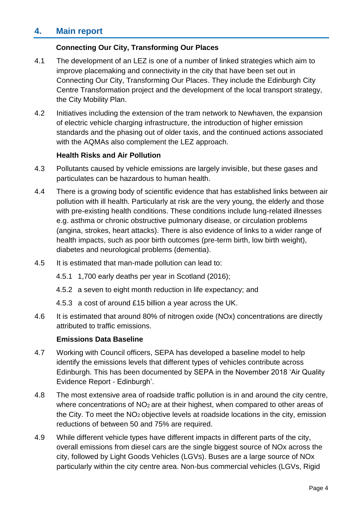## **4. Main report**

## **Connecting Our City, Transforming Our Places**

- 4.1 The development of an LEZ is one of a number of linked strategies which aim to improve placemaking and connectivity in the city that have been set out in Connecting Our City, Transforming Our Places. They include the Edinburgh City Centre Transformation project and the development of the local transport strategy, the City Mobility Plan.
- 4.2 Initiatives including the extension of the tram network to Newhaven, the expansion of electric vehicle charging infrastructure, the introduction of higher emission standards and the phasing out of older taxis, and the continued actions associated with the AQMAs also complement the LEZ approach.

#### **Health Risks and Air Pollution**

- 4.3 Pollutants caused by vehicle emissions are largely invisible, but these gases and particulates can be hazardous to human health.
- 4.4 There is a growing body of scientific evidence that has established links between air pollution with ill health. Particularly at risk are the very young, the elderly and those with pre-existing health conditions. These conditions include lung-related illnesses e.g. asthma or chronic obstructive pulmonary disease, or circulation problems (angina, strokes, heart attacks). There is also evidence of links to a wider range of health impacts, such as poor birth outcomes (pre-term birth, low birth weight), diabetes and neurological problems (dementia).
- 4.5 It is estimated that man-made pollution can lead to:
	- 4.5.1 1,700 early deaths per year in Scotland (2016);
	- 4.5.2 a seven to eight month reduction in life expectancy; and
	- 4.5.3 a cost of around £15 billion a year across the UK.
- 4.6 It is estimated that around 80% of nitrogen oxide (NOx) concentrations are directly attributed to traffic emissions.

#### **Emissions Data Baseline**

- 4.7 Working with Council officers, SEPA has developed a baseline model to help identify the emissions levels that different types of vehicles contribute across Edinburgh. This has been documented by SEPA in the November 2018 'Air Quality Evidence Report - Edinburgh'.
- 4.8 The most extensive area of roadside traffic pollution is in and around the city centre, where concentrations of NO<sub>2</sub> are at their highest, when compared to other areas of the City. To meet the  $NO<sub>2</sub>$  objective levels at roadside locations in the city, emission reductions of between 50 and 75% are required.
- 4.9 While different vehicle types have different impacts in different parts of the city, overall emissions from diesel cars are the single biggest source of NOx across the city, followed by Light Goods Vehicles (LGVs). Buses are a large source of NOx particularly within the city centre area. Non-bus commercial vehicles (LGVs, Rigid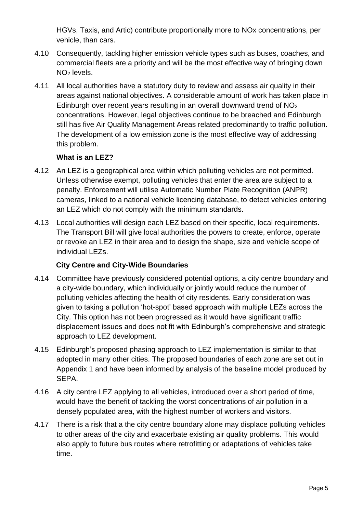HGVs, Taxis, and Artic) contribute proportionally more to NOx concentrations, per vehicle, than cars.

- 4.10 Consequently, tackling higher emission vehicle types such as buses, coaches, and commercial fleets are a priority and will be the most effective way of bringing down NO<sup>2</sup> levels.
- 4.11 All local authorities have a statutory duty to review and assess air quality in their areas against national objectives. A considerable amount of work has taken place in Edinburgh over recent years resulting in an overall downward trend of NO<sup>2</sup> concentrations. However, legal objectives continue to be breached and Edinburgh still has five Air Quality Management Areas related predominantly to traffic pollution. The development of a low emission zone is the most effective way of addressing this problem.

## **What is an LEZ?**

- 4.12 An LEZ is a geographical area within which polluting vehicles are not permitted. Unless otherwise exempt, polluting vehicles that enter the area are subject to a penalty. Enforcement will utilise Automatic Number Plate Recognition (ANPR) cameras, linked to a national vehicle licencing database, to detect vehicles entering an LEZ which do not comply with the minimum standards.
- 4.13 Local authorities will design each LEZ based on their specific, local requirements. The Transport Bill will give local authorities the powers to create, enforce, operate or revoke an LEZ in their area and to design the shape, size and vehicle scope of individual LEZs.

## **City Centre and City-Wide Boundaries**

- 4.14 Committee have previously considered potential options, a city centre boundary and a city-wide boundary, which individually or jointly would reduce the number of polluting vehicles affecting the health of city residents. Early consideration was given to taking a pollution 'hot-spot' based approach with multiple LEZs across the City. This option has not been progressed as it would have significant traffic displacement issues and does not fit with Edinburgh's comprehensive and strategic approach to LEZ development.
- 4.15 Edinburgh's proposed phasing approach to LEZ implementation is similar to that adopted in many other cities. The proposed boundaries of each zone are set out in Appendix 1 and have been informed by analysis of the baseline model produced by SEPA.
- 4.16 A city centre LEZ applying to all vehicles, introduced over a short period of time, would have the benefit of tackling the worst concentrations of air pollution in a densely populated area, with the highest number of workers and visitors.
- 4.17 There is a risk that a the city centre boundary alone may displace polluting vehicles to other areas of the city and exacerbate existing air quality problems. This would also apply to future bus routes where retrofitting or adaptations of vehicles take time.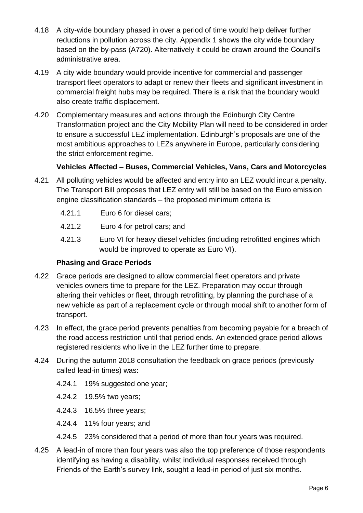- 4.18 A city-wide boundary phased in over a period of time would help deliver further reductions in pollution across the city. Appendix 1 shows the city wide boundary based on the by-pass (A720). Alternatively it could be drawn around the Council's administrative area.
- 4.19 A city wide boundary would provide incentive for commercial and passenger transport fleet operators to adapt or renew their fleets and significant investment in commercial freight hubs may be required. There is a risk that the boundary would also create traffic displacement.
- 4.20 Complementary measures and actions through the Edinburgh City Centre Transformation project and the City Mobility Plan will need to be considered in order to ensure a successful LEZ implementation. Edinburgh's proposals are one of the most ambitious approaches to LEZs anywhere in Europe, particularly considering the strict enforcement regime.

## **Vehicles Affected – Buses, Commercial Vehicles, Vans, Cars and Motorcycles**

- 4.21 All polluting vehicles would be affected and entry into an LEZ would incur a penalty. The Transport Bill proposes that LEZ entry will still be based on the Euro emission engine classification standards – the proposed minimum criteria is:
	- 4.21.1 Euro 6 for diesel cars;
	- 4.21.2 Euro 4 for petrol cars; and
	- 4.21.3 Euro VI for heavy diesel vehicles (including retrofitted engines which would be improved to operate as Euro VI).

## **Phasing and Grace Periods**

- 4.22 Grace periods are designed to allow commercial fleet operators and private vehicles owners time to prepare for the LEZ. Preparation may occur through altering their vehicles or fleet, through retrofitting, by planning the purchase of a new vehicle as part of a replacement cycle or through modal shift to another form of transport.
- 4.23 In effect, the grace period prevents penalties from becoming payable for a breach of the road access restriction until that period ends. An extended grace period allows registered residents who live in the LEZ further time to prepare.
- 4.24 During the autumn 2018 consultation the feedback on grace periods (previously called lead-in times) was:
	- 4.24.1 19% suggested one year;
	- 4.24.2 19.5% two years;
	- 4.24.3 16.5% three years;
	- 4.24.4 11% four years; and
	- 4.24.5 23% considered that a period of more than four years was required.
- 4.25 A lead-in of more than four years was also the top preference of those respondents identifying as having a disability, whilst individual responses received through Friends of the Earth's survey link, sought a lead-in period of just six months.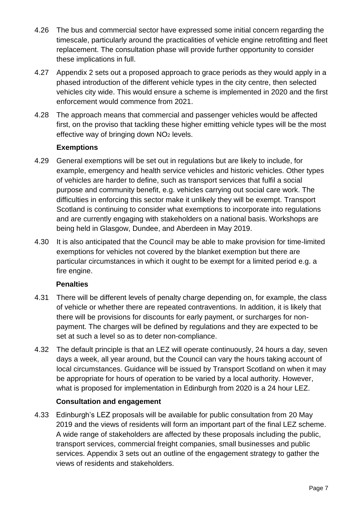- 4.26 The bus and commercial sector have expressed some initial concern regarding the timescale, particularly around the practicalities of vehicle engine retrofitting and fleet replacement. The consultation phase will provide further opportunity to consider these implications in full.
- 4.27 Appendix 2 sets out a proposed approach to grace periods as they would apply in a phased introduction of the different vehicle types in the city centre, then selected vehicles city wide. This would ensure a scheme is implemented in 2020 and the first enforcement would commence from 2021.
- 4.28 The approach means that commercial and passenger vehicles would be affected first, on the proviso that tackling these higher emitting vehicle types will be the most effective way of bringing down NO<sub>2</sub> levels.

## **Exemptions**

- 4.29 General exemptions will be set out in regulations but are likely to include, for example, emergency and health service vehicles and historic vehicles. Other types of vehicles are harder to define, such as transport services that fulfil a social purpose and community benefit, e.g. vehicles carrying out social care work. The difficulties in enforcing this sector make it unlikely they will be exempt. Transport Scotland is continuing to consider what exemptions to incorporate into regulations and are currently engaging with stakeholders on a national basis. Workshops are being held in Glasgow, Dundee, and Aberdeen in May 2019.
- 4.30 It is also anticipated that the Council may be able to make provision for time-limited exemptions for vehicles not covered by the blanket exemption but there are particular circumstances in which it ought to be exempt for a limited period e.g. a fire engine.

## **Penalties**

- 4.31 There will be different levels of penalty charge depending on, for example, the class of vehicle or whether there are repeated contraventions. In addition, it is likely that there will be provisions for discounts for early payment, or surcharges for nonpayment. The charges will be defined by regulations and they are expected to be set at such a level so as to deter non-compliance.
- 4.32 The default principle is that an LEZ will operate continuously, 24 hours a day, seven days a week, all year around, but the Council can vary the hours taking account of local circumstances. Guidance will be issued by Transport Scotland on when it may be appropriate for hours of operation to be varied by a local authority. However, what is proposed for implementation in Edinburgh from 2020 is a 24 hour LEZ.

## **Consultation and engagement**

4.33 Edinburgh's LEZ proposals will be available for public consultation from 20 May 2019 and the views of residents will form an important part of the final LEZ scheme. A wide range of stakeholders are affected by these proposals including the public, transport services, commercial freight companies, small businesses and public services. Appendix 3 sets out an outline of the engagement strategy to gather the views of residents and stakeholders.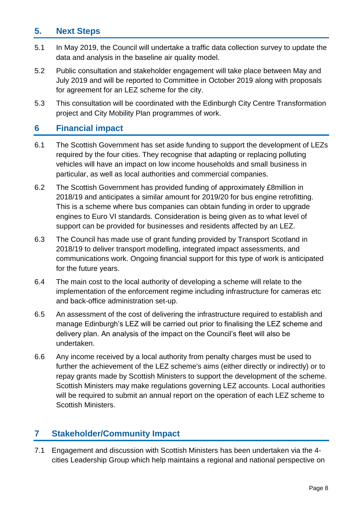## **5. Next Steps**

- 5.1 In May 2019, the Council will undertake a traffic data collection survey to update the data and analysis in the baseline air quality model.
- 5.2 Public consultation and stakeholder engagement will take place between May and July 2019 and will be reported to Committee in October 2019 along with proposals for agreement for an LEZ scheme for the city.
- 5.3 This consultation will be coordinated with the Edinburgh City Centre Transformation project and City Mobility Plan programmes of work.

## **6 Financial impact**

- 6.1 The Scottish Government has set aside funding to support the development of LEZs required by the four cities. They recognise that adapting or replacing polluting vehicles will have an impact on low income households and small business in particular, as well as local authorities and commercial companies.
- 6.2 The Scottish Government has provided funding of approximately £8million in 2018/19 and anticipates a similar amount for 2019/20 for bus engine retrofitting. This is a scheme where bus companies can obtain funding in order to upgrade engines to Euro VI standards. Consideration is being given as to what level of support can be provided for businesses and residents affected by an LEZ.
- 6.3 The Council has made use of grant funding provided by Transport Scotland in 2018/19 to deliver transport modelling, integrated impact assessments, and communications work. Ongoing financial support for this type of work is anticipated for the future years.
- 6.4 The main cost to the local authority of developing a scheme will relate to the implementation of the enforcement regime including infrastructure for cameras etc and back-office administration set-up.
- 6.5 An assessment of the cost of delivering the infrastructure required to establish and manage Edinburgh's LEZ will be carried out prior to finalising the LEZ scheme and delivery plan. An analysis of the impact on the Council's fleet will also be undertaken.
- 6.6 Any income received by a local authority from penalty charges must be used to further the achievement of the LEZ scheme's aims (either directly or indirectly) or to repay grants made by Scottish Ministers to support the development of the scheme. Scottish Ministers may make regulations governing LEZ accounts. Local authorities will be required to submit an annual report on the operation of each LEZ scheme to Scottish Ministers.

## **7 Stakeholder/Community Impact**

7.1 Engagement and discussion with Scottish Ministers has been undertaken via the 4 cities Leadership Group which help maintains a regional and national perspective on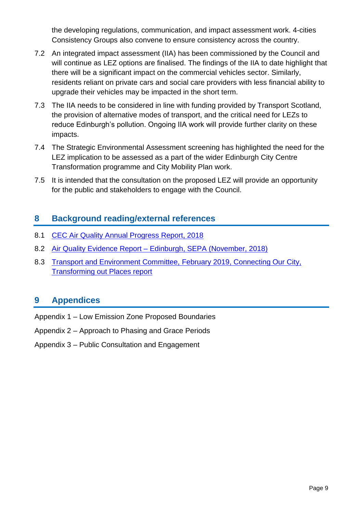the developing regulations, communication, and impact assessment work. 4-cities Consistency Groups also convene to ensure consistency across the country.

- 7.2 An integrated impact assessment (IIA) has been commissioned by the Council and will continue as LEZ options are finalised. The findings of the IIA to date highlight that there will be a significant impact on the commercial vehicles sector. Similarly, residents reliant on private cars and social care providers with less financial ability to upgrade their vehicles may be impacted in the short term.
- 7.3 The IIA needs to be considered in line with funding provided by Transport Scotland, the provision of alternative modes of transport, and the critical need for LEZs to reduce Edinburgh's pollution. Ongoing IIA work will provide further clarity on these impacts.
- 7.4 The Strategic Environmental Assessment screening has highlighted the need for the LEZ implication to be assessed as a part of the wider Edinburgh City Centre Transformation programme and City Mobility Plan work.
- 7.5 It is intended that the consultation on the proposed LEZ will provide an opportunity for the public and stakeholders to engage with the Council.

## **8 Background reading/external references**

- 8.1 [CEC Air Quality Annual Progress Report, 2018](http://www.edinburgh.gov.uk/airquality)
- 8.2 Air Quality Evidence Report [Edinburgh, SEPA \(November, 2018\)](http://www.edinburgh.gov.uk/CET/downloads/file/3/air_quality_evidence_report_%E2%80%93_edinburgh)
- 8.3 [Transport and Environment Committee, February 2019, Connecting Our City,](http://www.edinburgh.gov.uk/meetings/meeting/4653/transport_and_environment_committee)  [Transforming out Places report](http://www.edinburgh.gov.uk/meetings/meeting/4653/transport_and_environment_committee)

## **9 Appendices**

- Appendix 1 Low Emission Zone Proposed Boundaries
- Appendix 2 Approach to Phasing and Grace Periods
- Appendix 3 Public Consultation and Engagement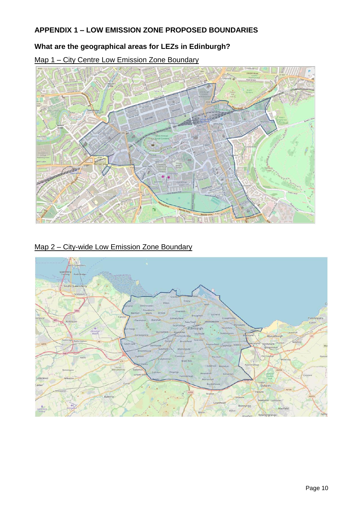## **APPENDIX 1 – LOW EMISSION ZONE PROPOSED BOUNDARIES**

## **What are the geographical areas for LEZs in Edinburgh?**

Map 1 – City Centre Low Emission Zone Boundary

## Map 2 – City-wide Low Emission Zone Boundary

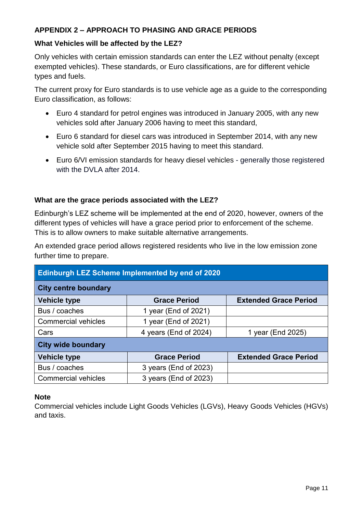## **APPENDIX 2 – APPROACH TO PHASING AND GRACE PERIODS**

#### **What Vehicles will be affected by the LEZ?**

Only vehicles with certain emission standards can enter the LEZ without penalty (except exempted vehicles). These standards, or Euro classifications, are for different vehicle types and fuels.

The current proxy for Euro standards is to use vehicle age as a guide to the corresponding Euro classification, as follows:

- Euro 4 standard for petrol engines was introduced in January 2005, with any new vehicles sold after January 2006 having to meet this standard,
- Euro 6 standard for diesel cars was introduced in September 2014, with any new vehicle sold after September 2015 having to meet this standard.
- Euro 6/VI emission standards for heavy diesel vehicles generally those registered with the DVI A after 2014.

## **What are the grace periods associated with the LEZ?**

Edinburgh's LEZ scheme will be implemented at the end of 2020, however, owners of the different types of vehicles will have a grace period prior to enforcement of the scheme. This is to allow owners to make suitable alternative arrangements.

An extended grace period allows registered residents who live in the low emission zone further time to prepare.

| <b>Edinburgh LEZ Scheme Implemented by end of 2020</b> |                       |                              |  |  |
|--------------------------------------------------------|-----------------------|------------------------------|--|--|
| <b>City centre boundary</b>                            |                       |                              |  |  |
| <b>Vehicle type</b>                                    | <b>Grace Period</b>   | <b>Extended Grace Period</b> |  |  |
| Bus / coaches                                          | 1 year (End of 2021)  |                              |  |  |
| <b>Commercial vehicles</b>                             | 1 year (End of 2021)  |                              |  |  |
| Cars                                                   | 4 years (End of 2024) | 1 year (End 2025)            |  |  |
| <b>City wide boundary</b>                              |                       |                              |  |  |
| <b>Vehicle type</b>                                    | <b>Grace Period</b>   | <b>Extended Grace Period</b> |  |  |
| Bus / coaches                                          | 3 years (End of 2023) |                              |  |  |
| <b>Commercial vehicles</b>                             | 3 years (End of 2023) |                              |  |  |

#### **Note**

Commercial vehicles include Light Goods Vehicles (LGVs), Heavy Goods Vehicles (HGVs) and taxis.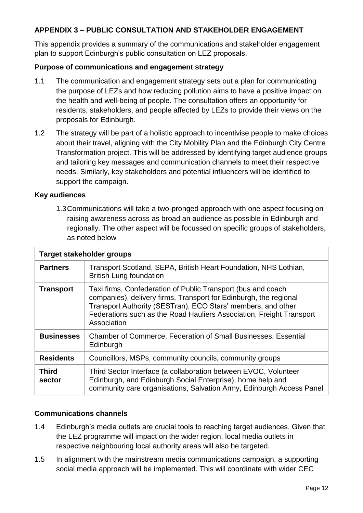## **APPENDIX 3 – PUBLIC CONSULTATION AND STAKEHOLDER ENGAGEMENT**

This appendix provides a summary of the communications and stakeholder engagement plan to support Edinburgh's public consultation on LEZ proposals.

#### **Purpose of communications and engagement strategy**

- 1.1 The communication and engagement strategy sets out a plan for communicating the purpose of LEZs and how reducing pollution aims to have a positive impact on the health and well-being of people. The consultation offers an opportunity for residents, stakeholders, and people affected by LEZs to provide their views on the proposals for Edinburgh.
- 1.2 The strategy will be part of a holistic approach to incentivise people to make choices about their travel, aligning with the City Mobility Plan and the Edinburgh City Centre Transformation project. This will be addressed by identifying target audience groups and tailoring key messages and communication channels to meet their respective needs. Similarly, key stakeholders and potential influencers will be identified to support the campaign.

#### **Key audiences**

1.3Communications will take a two-pronged approach with one aspect focusing on raising awareness across as broad an audience as possible in Edinburgh and regionally. The other aspect will be focussed on specific groups of stakeholders, as noted below

| Target stakeholder groups |                                                                                                                                                                                                                                                                                          |  |  |
|---------------------------|------------------------------------------------------------------------------------------------------------------------------------------------------------------------------------------------------------------------------------------------------------------------------------------|--|--|
| <b>Partners</b>           | Transport Scotland, SEPA, British Heart Foundation, NHS Lothian,<br><b>British Lung foundation</b>                                                                                                                                                                                       |  |  |
| <b>Transport</b>          | Taxi firms, Confederation of Public Transport (bus and coach<br>companies), delivery firms, Transport for Edinburgh, the regional<br>Transport Authority (SESTran), ECO Stars' members, and other<br>Federations such as the Road Hauliers Association, Freight Transport<br>Association |  |  |
| <b>Businesses</b>         | <b>Chamber of Commerce, Federation of Small Businesses, Essential</b><br>Edinburgh                                                                                                                                                                                                       |  |  |
| <b>Residents</b>          | Councillors, MSPs, community councils, community groups                                                                                                                                                                                                                                  |  |  |
| <b>Third</b><br>sector    | Third Sector Interface (a collaboration between EVOC, Volunteer<br>Edinburgh, and Edinburgh Social Enterprise), home help and<br>community care organisations, Salvation Army, Edinburgh Access Panel                                                                                    |  |  |

#### **Communications channels**

- 1.4 Edinburgh's media outlets are crucial tools to reaching target audiences. Given that the LEZ programme will impact on the wider region, local media outlets in respective neighbouring local authority areas will also be targeted.
- 1.5 In alignment with the mainstream media communications campaign, a supporting social media approach will be implemented. This will coordinate with wider CEC